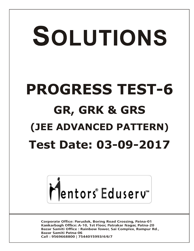# SOLUTIONS **PROGRESS TEST-6 GR, GRK & GRS (JEE ADVANCED PATTERN) Test Date: 03-09-2017**



**Corporate Office: Paruslok, Boring Road Crossing, Patna-01** Kankarbagh Office: A-10, 1st Floor, Patrakar Nagar, Patna-20 Bazar Samiti Office: Rainbow Tower, Sai Complex, Rampur Rd., **Bazar Samiti Patna-06** Call: 9569668800 | 7544015993/4/6/7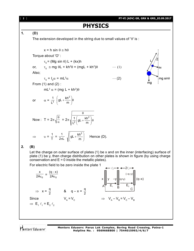[ **2** ] **PT-VI (ADV) GR, GRK & GRS\_03.09.2017 PHYSICS 1. (D)** The extension developed in the string due to small values of ' $\theta$ ' is :  $x = h \sin \theta \approx h\theta$ Torque about 'O' :  $\tau_0$  = (Mg sin  $\theta$ ) L + (kx)h or,  $\tau_0 \cong \text{mg } \theta L + \text{k}h^2\theta = (\text{mgL} + \text{k}h^2)\theta$  ... (1) Also;  $mg \sin\theta$ 0 = I<sup>0</sup> = mL<sup>2</sup> (2) From (1) and (2) :  $mL^2 \alpha$  = (mg L + kh<sup>2</sup>) $\theta$  $gL + \frac{kh^2}{m}$ ſ  $\mathcal{L}$  $rac{1}{2}$   $\left( gL + \frac{kh^2}{m} \right) \theta$  $\overline{\phantom{a}}$ or  $\alpha = \frac{1}{L^2}$  $\backslash$ J  $\theta$  $\frac{\theta}{\alpha}$  = 2 $\pi \sqrt{\frac{1}{1^2} \left( g L + \frac{kh^2}{m} \right)} \theta$  $1\int_{\text{cl}}$  kh<sup>2</sup>  $\int$ gL +  $\setminus$ gL +  $\frac{kh}{m}$ Now : T =  $2\pi\sqrt{\frac{c}{\alpha}}$  $\overline{\phantom{a}}$ 2 L  $\overline{\phantom{0}}$  $\bigg)$  $gL + \frac{kh^2}{m}$  $\Rightarrow$   $v = \frac{1}{T} = \frac{1}{2\pi L}$ ſ  $\setminus$  $\frac{1}{\pi L}$   $\sqrt{\left(9L + \frac{N\Gamma}{m}\right)}$  $\overline{\phantom{a}}$ Hence (D).  $\overline{\phantom{0}}$  $\bigg)$ **2. (B)** Let the charge on outer surface of plates (1) be x and on the inner (interfacing) surface of plate (1) be y, then charge distribution on other plates is shown in figure (by using charge conservation and  $E = 0$  inside the metallic plates). For electric field to be zero inside the plate 1  $\ell_1 \rightarrow -2\ell_1$ x  $(q - x)$ - $(-q-y)$  $\frac{1}{\epsilon_0} = \frac{1}{2A\epsilon_0}$ 2A $\epsilon_{\rm 0}$  $\epsilon$  $x \mid y \mid -y \mid (q+y) \mid (q-x)$  $E_1$   $B_2$ A  $\Rightarrow$   $x = \frac{q}{2}$  &  $q - x = \frac{q}{2}$ C Since  $V_{A} = V_{C}$  $= V_c$   $\Rightarrow V_A - V_B = V_c - V_B$  $\Rightarrow$  E<sub>1</sub>  $\ell_1$  = E<sub>2</sub>  $\ell_2$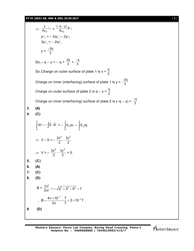# **PT-VI (ADV) GR, GRK & GRS\_03.09.2017** [ **3** ]

$$
\Rightarrow \frac{y}{Ac_0} e_1 = \frac{(-q-y)}{Ac_0} 2e_1
$$
  
\n
$$
y \ell_1 = -2q \ell_1 - 2y \ell_1
$$
  
\n
$$
3y \ell_1 = -2q \ell_1
$$
  
\n
$$
y = \frac{-2q}{3}
$$
  
\nSo,  $-q - y = -q + \frac{2q}{3} = \frac{-q}{3}$   
\nSo,  $C$  harge on outer surface of plate 1 is  $x = \frac{q}{2}$   
\nChange on inner (interfacing) surface of plate 1 is  $y = \frac{-2q}{3}$   
\nChange on outer surface of plate 2 is  $q - x = \frac{q}{2}$   
\nChange on inner (interfacing) surface of plate 2 is  $(-q - y) = \frac{-q}{3}$   
\n3. **(A)**  
\n4. **(C)**  
\n
$$
\int_0^v dV = -\int \vec{E} \cdot d\vec{r} = -\int_0^x \vec{E} \cdot dx - \int_0^y \vec{E} \cdot dy
$$
  
\n
$$
\Rightarrow V - 5 = -\frac{2x^2}{2} - \frac{3y^2}{2}
$$
  
\n
$$
\Rightarrow V = -\frac{2x^2}{2} - \frac{3y^2}{2} + 5.
$$
  
\n5. **(C)**  
\n6. **(A)**  
\n7. **(C)**  
\n8. **(D)**  
\n
$$
B = \frac{\mu_0 i}{2\pi r} r = \sqrt{2^2 + 3^2 + 6^2} = 7
$$
  
\n $\therefore B = \frac{4\pi \times 10^{-7}}{2\pi} \times \frac{7}{7} = 2 \times 10^{-7} T$ .  
\n9. **(D)**

Mentors<sup>®</sup> Eduserv<sup>®</sup>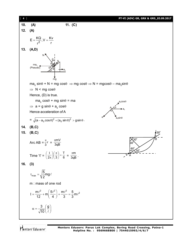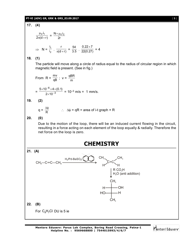### **PT-VI (ADV) GR, GRK & GRS\_03.09.2017** [ **5** ]

**17. (4)**  $2\pi$ (d + r) .<br>0 <sup>.i</sup>  $\pi$ (d + μ  $=\frac{N \times \mu_0 i_2}{2r}$  $\Rightarrow$  N =  $\frac{1}{i_2}$ 1 i i .  $\frac{r}{\pi(d+r)}$  $\frac{r}{\pi(d+r)} = \frac{54}{3.5} \cdot \frac{0.22 \times 7}{22(0.27)} = 4$ **18. (1)** The particle will move along a circle of radius equal to the radius of circular region in which magnetic field is present. (See in fig.) From  $R = \frac{mv}{qB}$ ;  $v = \frac{qB}{m}$ qBR  $=\frac{1}{2 \times 10^{-3}}$ 6  $2\times 10$  $5\times$ 10 $^{-$ o $\times$ 4 $\times$ (0.1) ÷ - $\times$  $\frac{x10^{-6} \times 4 \times (0.1)}{0.40^{-3}} = 10^{-3} \text{ m/s} = 1 \text{ mm/s}.$ **19. (2)**  $q = \frac{\Delta \phi}{R}$  :  $\Delta \phi = qR = \text{area of } i\text{-t graph} \times R$ **20. (0)** Due to the motion of the loop, there will be an induced current flowing in the circuit, resulting in a force acting on each element of the loop equally & radially. Therefore the net force on the loop is zero. **CHEMISTRY 21. (A)** C=C  $\mathsf{CH}_3$ CH<sub>3</sub>—C≡C—CH<sub>3</sub> H<sub>2</sub>/Pd-BaSO<sub>4</sub>/ **2** 1 **2** CH<sub>3</sub>  $H'$   $\rightarrow$   $H$  $R$  CO $_{3}$ H  $H<sub>2</sub>O$  (anti addition) CH<sub>3</sub> CH<sub>3</sub>  $\perp$ -OH  $\perp$ н  $H$ —  $H$ <sup> $-$ </sup> N **22. (B)** For  $C_8H_7Cl$  DU is 5 ie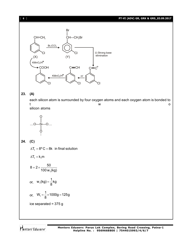[ **6** ] **PT-VI (ADV) GR, GRK & GRS\_03.09.2017**



# **23. (A)**

each silicon atom is surrounded by four oxygen atoms and each oxygen atom is bonded to t to the contract of the contract of the contract of the contract of the contract of the contract of the contract of the contract of the contract of the contract of the contract of the contract of the contract of the contr silicon atoms



# **24. (C)**

 $\Delta T_{\rm f} = 8^{\rm o}\,{\rm C}$   $=$  8k  $\,$  in final solution

 $\Delta T_f = k_f m$ 

$$
8 = 2 \times \frac{50}{100 \text{ w}_1(\text{kg})}
$$
  
or, 
$$
\text{w}_1(\text{kg}) = \frac{1}{8} \text{kg}
$$
  
or, 
$$
\text{w}_1 = \frac{1}{8} \times 1000 \text{g} = 125 \text{g}
$$
  
ice separated = 375 g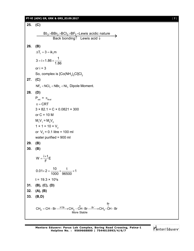### **PT-VI (ADV) GR, GRK & GRS\_03.09.2017** [ **7** ]

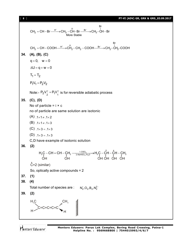[ **8** ] **PT-VI (ADV) GR, GRK & GRS\_03.09.2017**

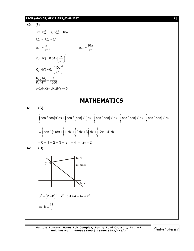**PT-VI (ADV) GR, GRK & GRS\_03.09.2017** [ **9** ] **40. (3)** Let  $\lambda_{HX}^{0.01} = a$ ,  $\lambda_{HY}^{0.1} = 10a$  $\lambda_{\text{HX}}^{\infty} = \lambda_{\text{HY}}^{\infty} = \lambda^{\infty}$ HX a  $\alpha_{\rm HX} = \frac{a}{\lambda^{\infty}}$ ,  $\alpha_{\rm HY} = \frac{10a}{\lambda^{\infty}}$  $\alpha_{\text{HY}} = \frac{184}{\lambda^{\infty}}$ 2 a  $K_a(HX) = 0.01 \times \left(\frac{a}{\lambda^{\infty}}\right)^2$ 2  $K_a(HY) = 0.1 \left(\frac{10a}{\lambda^{\infty}}\right)^2$ a a  $K_a(HX)$  1  $\frac{R_a(T, B)}{R_a(HY)} = \frac{1}{1000}$  $pK_a(HX) - pK_a(HY) = 3$ **MATHEMATICS 41. (C)** [x]dx +| cos<sup>-</sup>'(cos[x] )dx +| cos<sup>-</sup>' cos[x]dx +| cos<sup>-</sup>' cos[x]dx +| cos<sup>-</sup>' cos[x]  $\int_{0}^{1}$   $\cos^{-1}$   $\cos^{-1}$   $\left(\cos^{-1}$   $\cos^{-1}$   $\cos^{-1}$   $\cos^{-1}$   $\cos^{-1}$   $\cos^{-1}$   $\cos^{-1}$   $\cos^{-1}$   $\cos^{-1}$   $\cos^{-1}$  $\int\limits_{0}^{\infty}\cos^{-1}\cos\bigl[\frac{x}{2}\bigr]dx+\int\limits_{1}^{\infty}\cos^{-1}\bigl(\cos\bigl[\frac{x}{2}\bigr]\bigr)dx+\int\limits_{2}^{\infty}\cos^{-1}\cos\bigl[\frac{x}{2}\bigr]dx+\int\limits_{3}^{\infty}\cos^{-1}\cos\bigl[\frac{x}{2}\bigr]dx+\int\limits_{4}^{\infty}\cos^{-1}\cos\bigl[\frac{x}{2}\bigr]dx$ (1) dx + | 1. dx + | 2 dx + 3 | dx + | (2 $\pi$  – 4)  $\int_{0}^{1}$  2 3 3 4 4  $\int_{0}^{2}$  3 4 4  $\int_{0}^{3}$  3 4  $\int_{0}^{4}$ 0 1 2 3 4  $=\int \cos^{-1}(1) dx + \int 1. dx + \int 2 dx + 3 \int dx + \int (2\pi - 4) dx$  $= 0 + 1 + 2 + 3 + 2\pi - 4 = 2\pi + 2$ **42. (B)** (3, k) (3, 13/4) (3, 0)  $(0, 2)$  $3^2 + (2 - k)^2 = k^2 \Rightarrow 9 + 4 - 4k + k^2$  $\Rightarrow k = \frac{13}{4}$ 4  $=$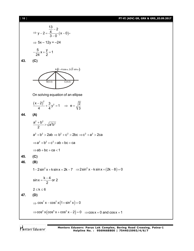[ **10** ] **PT-VI (ADV) GR, GRK & GRS\_03.09.2017**

$$
y-2=\frac{\frac{13}{4}-2}{\frac{3}{2}-2}(x-0),
$$
  
\n⇒ 5x-12y = -24  
\n
$$
-\frac{5}{24}x+\frac{y}{2}=1
$$
  
\n43. (C)  
\nOn solving equation of an ellipse  
\n
$$
\frac{(x-2)^2}{4}+\frac{3}{4}y^2=1 \Rightarrow e=\sqrt{\frac{2}{3}}
$$
  
\n44. (A)  
\n
$$
\frac{a^2+b^2}{2}>\sqrt{a^2b^2}
$$
  
\n
$$
a^2+b^2 \ge 2ab \Rightarrow b^2+c^2>2bc \Rightarrow c^2+a^2>2ca
$$
  
\n
$$
\Rightarrow a^2+b^2+c^2>ab+bc+ca
$$
  
\n⇒ ab+bc+ca < 1  
\n45. (C)  
\n46. (B)  
\n1-2 sin<sup>2</sup> x + k sin x = 2k-7 ⇒ 2 sin<sup>2</sup> x - k sin x + (2k-8) = 0  
\nsin x =  $\frac{k-4}{2}$  or 2  
\n $2 \le k \le 6$   
\n47. (D)  
\n $\Rightarrow cos^2 x - cos^2 x(1+sin^2 x) = 0$   
\n $\Rightarrow cos^2 x (cos^5 x + cos^2 x - 2) = 0 \Rightarrow cos x = 0$  and cos x = 1

Mentors<sup>e</sup> Eduserv<sup>-</sup>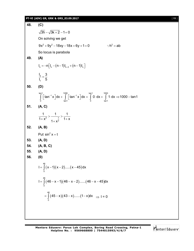## **PT-VI (ADV) GR, GRK & GRS\_03.09.2017** [ **11** ]

**48. (C)**  $\sqrt{3h} - \sqrt{3k + 2} - 1 = 0$ On solving we get  $9x^2 + 9y^2 - 18xy - 18x + 6y + 1 = 0$  :: h<sup>2</sup> = ab So locus is parabola **49. (A)**  $I_n = -n \left[ I_n - (n - 1) I_{n - 2} + (n - 1) I_n \right]$ 3 1  $I_3$  3  $I_1$  5  $=$ **50. (D)** tan1 1000 tan1 1000<br>[ | tɔp<sup>-1</sup> v ]dv | [ [ tɔp<sup>-1</sup> v ]dv \_ **[ o** dv | [  $\int\limits_{0}^{\pi} \left\lfloor \tan^{-1} x \right\rfloor dx + \int\limits_{\tan 1}^{\pi} \left\lfloor \tan^{-1} x \right\rfloor dx = \int\limits_{0}^{\pi} 0 \cdot dx + \int\limits_{\tan 1}^{\pi} 1 \cdot dx \Rightarrow 1000 - \tan 1$ **51. (A, C)** 2 2  $1 \t1 \t1$  $\frac{x}{1+x^2} > \frac{x}{1+x^2} > \frac{1}{1+x}$ +  $x^2$   $1 + x^{\frac{\pi}{2}}$   $1 + y$ **52. (A, B)** Put  $\sin^2 x = t$ **53. (A, D) 54. (A, B, C) 55. (A, D) 56. (0)**  $(x-1)(x-2)....(x-45)$ 46  $I = \int_{0}^{1} (x-1)(x-2).....(x-45)dx$ (46 – x – 1)(46 – x – 2)……(46 – x – 45) 46  $I = \int\limits_0^1 (46 - x - 1)(46 - x - 2)......(46 - x - 45)dx$  $(45-x)(43-x)......(1-x)$ 46  $= \int_{0}^{1} (45-x)(43-x)$ .......(1-x)dx  $\Rightarrow$  I = 0

Mentors Eduserv